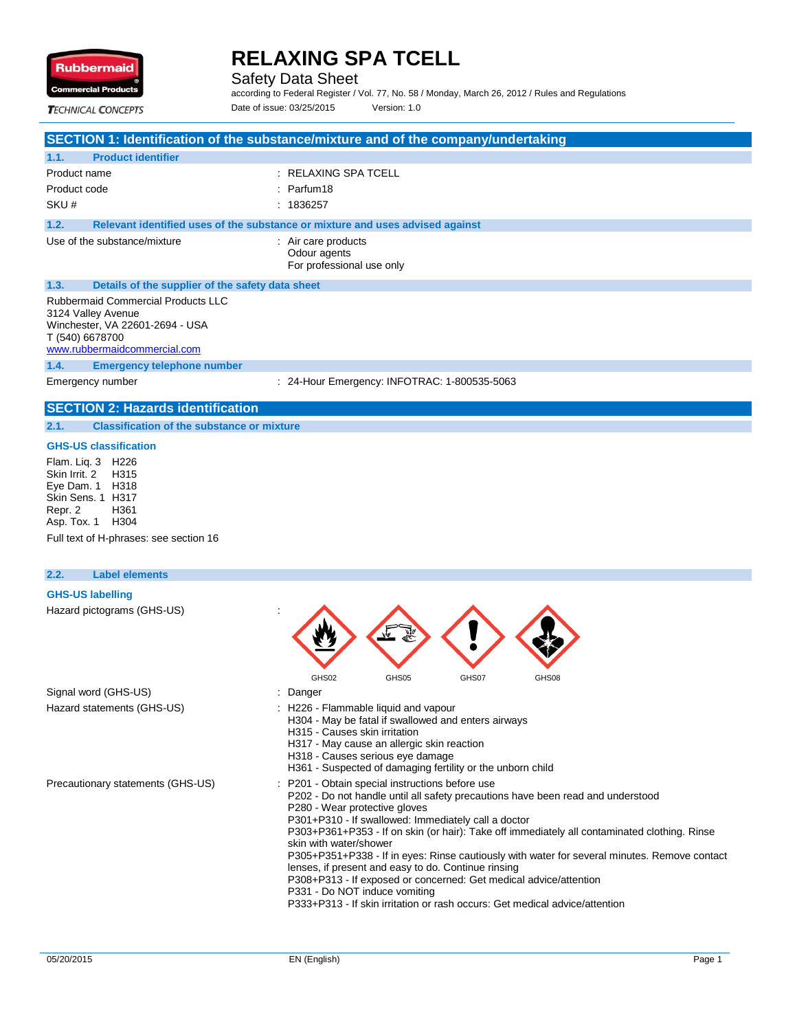

Safety Data Sheet

according to Federal Register / Vol. 77, No. 58 / Monday, March 26, 2012 / Rules and Regulations Date of issue: 03/25/2015 Version: 1.0

**TECHNICAL CONCEPTS** 

### **SECTION 1: Identification of the substance/mixture and of the company/undertaking**

| 1.1.<br><b>Product identifier</b>                                                                                                                     |                                                                               |  |
|-------------------------------------------------------------------------------------------------------------------------------------------------------|-------------------------------------------------------------------------------|--|
| Product name                                                                                                                                          | $:$ RELAXING SPA TCELL                                                        |  |
| Product code                                                                                                                                          | $\therefore$ Parfum 18                                                        |  |
| SKU#                                                                                                                                                  | : 1836257                                                                     |  |
| 1.2.                                                                                                                                                  | Relevant identified uses of the substance or mixture and uses advised against |  |
| Use of the substance/mixture                                                                                                                          | : Air care products<br>Odour agents<br>For professional use only              |  |
| 1.3.<br>Details of the supplier of the safety data sheet                                                                                              |                                                                               |  |
| <b>Rubbermaid Commercial Products LLC</b><br>3124 Valley Avenue<br>Winchester, VA 22601-2694 - USA<br>T (540) 6678700<br>uuu ruhharmoidoommaroial oom |                                                                               |  |

www.rubbermaidcommercial.com

**1.4. Emergency telephone number**

Emergency number : 24-Hour Emergency: INFOTRAC: 1-800535-5063

### **SECTION 2: Hazards identification**

#### **2.1. Classification of the substance or mixture**

#### **GHS-US classification**

Flam. Liq. 3 H226<br>Skin Irrit. 2 H315 Skin Irrit. 2 Eye Dam. 1 H318 Skin Sens. 1 H317<br>Repr. 2 H361 Repr. 2 Asp. Tox. 1 H304

Full text of H-phrases: see section 16

#### **2.2. Label elements**

#### **GHS-US labelling**

Hazard pictograms (GHS-US) :

|                                   | GHS02                  | GHS05                                                                                                                                                                                                                                                                        | GHS07 | GHS08                                                                                                                                                                                                                               |                                                                                                                                                                                              |
|-----------------------------------|------------------------|------------------------------------------------------------------------------------------------------------------------------------------------------------------------------------------------------------------------------------------------------------------------------|-------|-------------------------------------------------------------------------------------------------------------------------------------------------------------------------------------------------------------------------------------|----------------------------------------------------------------------------------------------------------------------------------------------------------------------------------------------|
| Signal word (GHS-US)              | : Danger               |                                                                                                                                                                                                                                                                              |       |                                                                                                                                                                                                                                     |                                                                                                                                                                                              |
| Hazard statements (GHS-US)        |                        | : H226 - Flammable liquid and vapour<br>H304 - May be fatal if swallowed and enters airways<br>H315 - Causes skin irritation<br>H317 - May cause an allergic skin reaction<br>H318 - Causes serious eye damage<br>H361 - Suspected of damaging fertility or the unborn child |       |                                                                                                                                                                                                                                     |                                                                                                                                                                                              |
| Precautionary statements (GHS-US) | skin with water/shower | : P201 - Obtain special instructions before use<br>P280 - Wear protective gloves<br>P301+P310 - If swallowed: Immediately call a doctor<br>lenses, if present and easy to do. Continue rinsing<br>P331 - Do NOT induce vomiting                                              |       | P202 - Do not handle until all safety precautions have been read and understood<br>P308+P313 - If exposed or concerned: Get medical advice/attention<br>P333+P313 - If skin irritation or rash occurs: Get medical advice/attention | P303+P361+P353 - If on skin (or hair): Take off immediately all contaminated clothing. Rinse<br>P305+P351+P338 - If in eyes: Rinse cautiously with water for several minutes. Remove contact |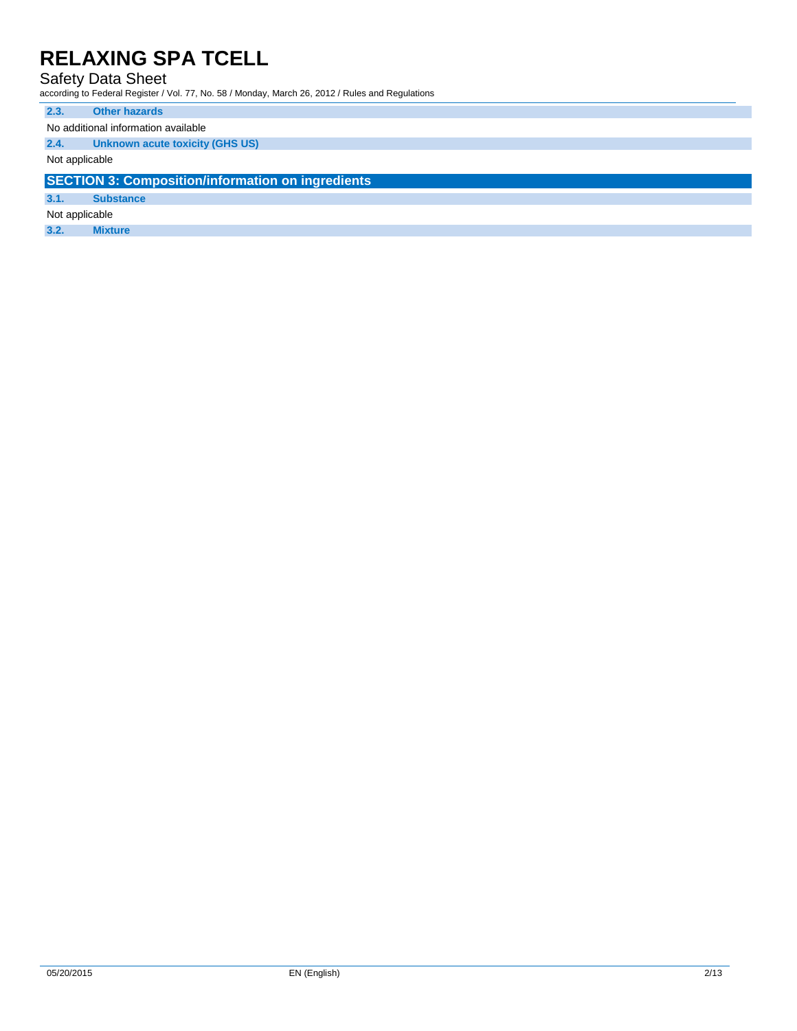#### Safety Data Sheet

according to Federal Register / Vol. 77, No. 58 / Monday, March 26, 2012 / Rules and Regulations

#### **2.3. Other hazards**

No additional information available

#### **2.4. Unknown acute toxicity (GHS US)**

Not applicable

### **SECTION 3: Composition/information on ingredients**

**3.1. Substance**

Not applicable

**3.2. Mixture**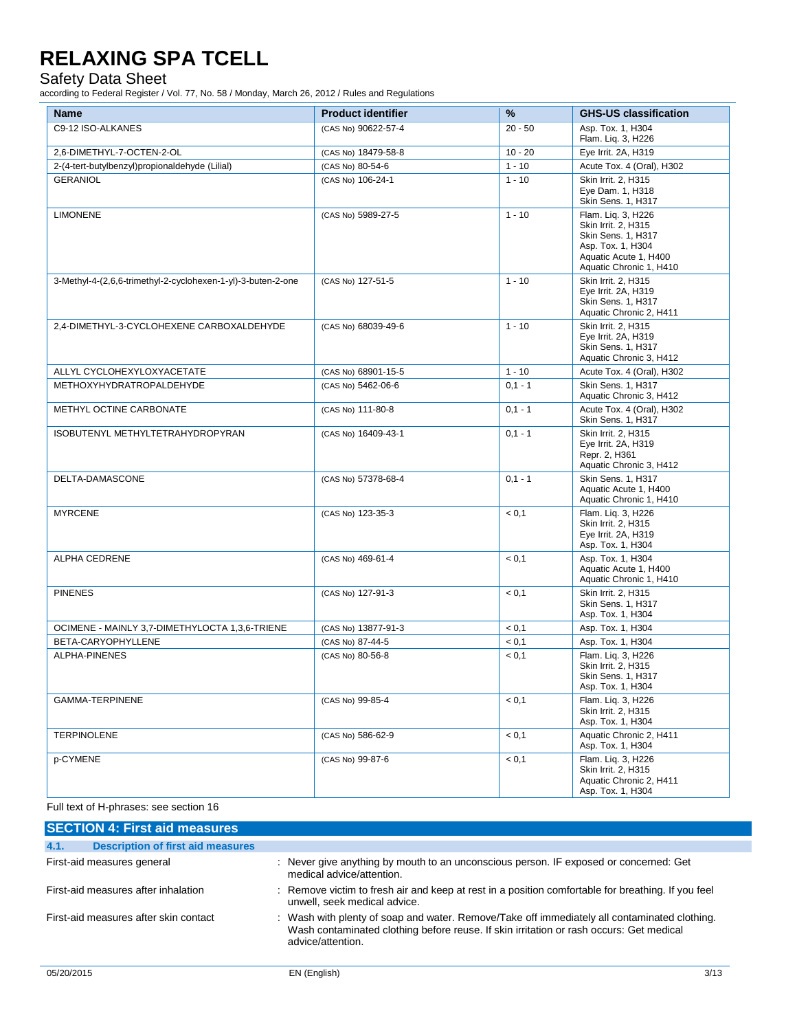#### Safety Data Sheet

according to Federal Register / Vol. 77, No. 58 / Monday, March 26, 2012 / Rules and Regulations

| <b>Name</b>                                                  | <b>Product identifier</b> | %         | <b>GHS-US classification</b>                                                                                                             |
|--------------------------------------------------------------|---------------------------|-----------|------------------------------------------------------------------------------------------------------------------------------------------|
| C9-12 ISO-ALKANES                                            | (CAS No) 90622-57-4       | $20 - 50$ | Asp. Tox. 1, H304<br>Flam. Liq. 3, H226                                                                                                  |
| 2,6-DIMETHYL-7-OCTEN-2-OL                                    | (CAS No) 18479-58-8       | $10 - 20$ | Eye Irrit. 2A, H319                                                                                                                      |
| 2-(4-tert-butylbenzyl)propionaldehyde (Lilial)               | (CAS No) 80-54-6          | $1 - 10$  | Acute Tox. 4 (Oral), H302                                                                                                                |
| <b>GERANIOL</b>                                              | (CAS No) 106-24-1         | $1 - 10$  | Skin Irrit. 2, H315<br>Eye Dam. 1, H318<br>Skin Sens. 1, H317                                                                            |
| <b>LIMONENE</b>                                              | (CAS No) 5989-27-5        | $1 - 10$  | Flam. Liq. 3, H226<br>Skin Irrit. 2, H315<br>Skin Sens. 1, H317<br>Asp. Tox. 1. H304<br>Aquatic Acute 1, H400<br>Aquatic Chronic 1, H410 |
| 3-Methyl-4-(2,6,6-trimethyl-2-cyclohexen-1-yl)-3-buten-2-one | (CAS No) 127-51-5         | $1 - 10$  | Skin Irrit. 2, H315<br>Eye Irrit. 2A, H319<br>Skin Sens. 1, H317<br>Aquatic Chronic 2, H411                                              |
| 2.4-DIMETHYL-3-CYCLOHEXENE CARBOXALDEHYDE                    | (CAS No) 68039-49-6       | $1 - 10$  | Skin Irrit. 2, H315<br>Eye Irrit. 2A, H319<br>Skin Sens. 1, H317<br>Aquatic Chronic 3, H412                                              |
| ALLYL CYCLOHEXYLOXYACETATE                                   | (CAS No) 68901-15-5       | $1 - 10$  | Acute Tox. 4 (Oral), H302                                                                                                                |
| METHOXYHYDRATROPALDEHYDE                                     | (CAS No) 5462-06-6        | $0,1 - 1$ | Skin Sens. 1, H317<br>Aquatic Chronic 3, H412                                                                                            |
| METHYL OCTINE CARBONATE                                      | (CAS No) 111-80-8         | $0,1 - 1$ | Acute Tox. 4 (Oral), H302<br>Skin Sens. 1, H317                                                                                          |
| ISOBUTENYL METHYLTETRAHYDROPYRAN                             | (CAS No) 16409-43-1       | $0,1 - 1$ | Skin Irrit. 2, H315<br>Eye Irrit. 2A, H319<br>Repr. 2, H361<br>Aquatic Chronic 3, H412                                                   |
| DELTA-DAMASCONE                                              | (CAS No) 57378-68-4       | $0,1 - 1$ | Skin Sens. 1, H317<br>Aquatic Acute 1, H400<br>Aquatic Chronic 1, H410                                                                   |
| <b>MYRCENE</b>                                               | (CAS No) 123-35-3         | < 0.1     | Flam. Liq. 3, H226<br>Skin Irrit. 2, H315<br>Eye Irrit. 2A, H319<br>Asp. Tox. 1, H304                                                    |
| <b>ALPHA CEDRENE</b>                                         | (CAS No) 469-61-4         | < 0.1     | Asp. Tox. 1, H304<br>Aquatic Acute 1, H400<br>Aquatic Chronic 1, H410                                                                    |
| <b>PINENES</b>                                               | (CAS No) 127-91-3         | < 0.1     | Skin Irrit. 2, H315<br>Skin Sens. 1, H317<br>Asp. Tox. 1, H304                                                                           |
| OCIMENE - MAINLY 3,7-DIMETHYLOCTA 1,3,6-TRIENE               | (CAS No) 13877-91-3       | < 0,1     | Asp. Tox. 1, H304                                                                                                                        |
| BETA-CARYOPHYLLENE                                           | (CAS No) 87-44-5          | < 0.1     | Asp. Tox. 1, H304                                                                                                                        |
| ALPHA-PINENES                                                | (CAS No) 80-56-8          | < 0.1     | Flam. Lig. 3, H226<br>Skin Irrit. 2. H315<br>Skin Sens. 1, H317<br>Asp. Tox. 1, H304                                                     |
| GAMMA-TERPINENE                                              | (CAS No) 99-85-4          | < 0,1     | Flam. Liq. 3, H226<br>Skin Irrit. 2, H315<br>Asp. Tox. 1, H304                                                                           |
| <b>TERPINOLENE</b>                                           | (CAS No) 586-62-9         | < 0,1     | Aquatic Chronic 2, H411<br>Asp. Tox. 1, H304                                                                                             |
| p-CYMENE                                                     | (CAS No) 99-87-6          | < 0,1     | Flam. Liq. 3, H226<br>Skin Irrit. 2, H315<br>Aquatic Chronic 2, H411<br>Asp. Tox. 1, H304                                                |

Full text of H-phrases: see section 16

| <b>SECTION 4: First aid measures</b>             |                                                                                                                                                                                                              |  |  |
|--------------------------------------------------|--------------------------------------------------------------------------------------------------------------------------------------------------------------------------------------------------------------|--|--|
| 4.1.<br><b>Description of first aid measures</b> |                                                                                                                                                                                                              |  |  |
| First-aid measures general                       | : Never give anything by mouth to an unconscious person. IF exposed or concerned: Get<br>medical advice/attention.                                                                                           |  |  |
| First-aid measures after inhalation              | : Remove victim to fresh air and keep at rest in a position comfortable for breathing. If you feel<br>unwell, seek medical advice.                                                                           |  |  |
| First-aid measures after skin contact            | : Wash with plenty of soap and water. Remove/Take off immediately all contaminated clothing.<br>Wash contaminated clothing before reuse. If skin irritation or rash occurs: Get medical<br>advice/attention. |  |  |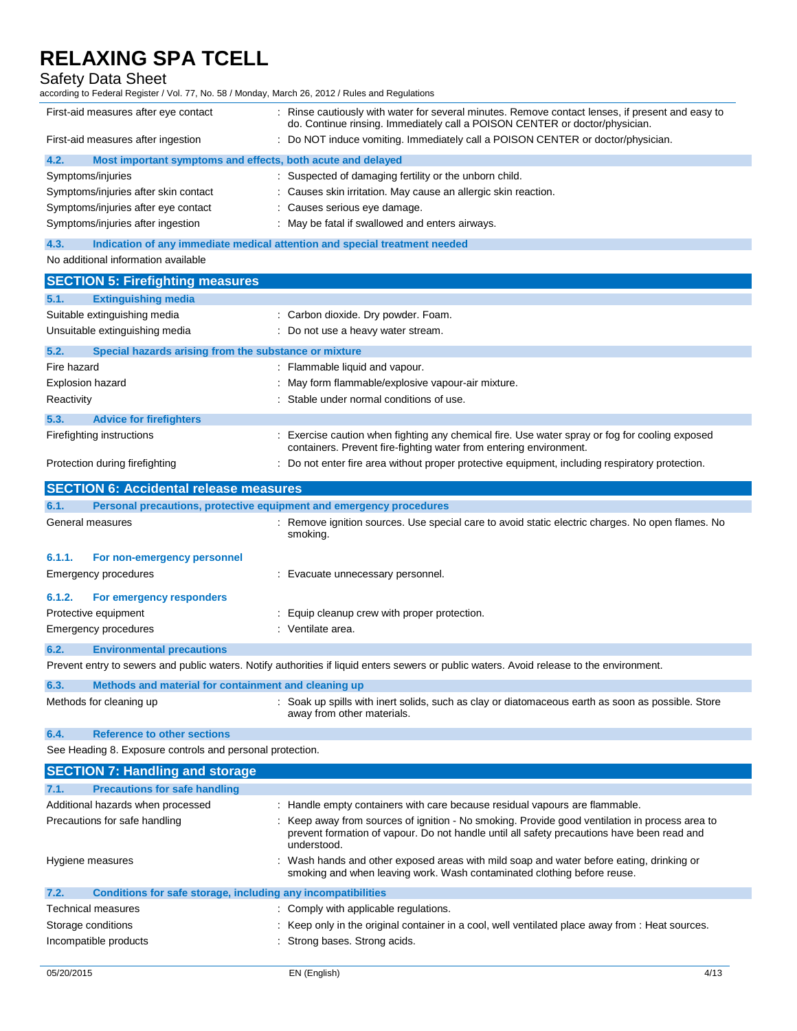| Safety Data Sheet<br>according to Federal Register / Vol. 77, No. 58 / Monday, March 26, 2012 / Rules and Regulations |                                                                                                                                                                                                           |
|-----------------------------------------------------------------------------------------------------------------------|-----------------------------------------------------------------------------------------------------------------------------------------------------------------------------------------------------------|
| First-aid measures after eye contact                                                                                  | : Rinse cautiously with water for several minutes. Remove contact lenses, if present and easy to                                                                                                          |
|                                                                                                                       | do. Continue rinsing. Immediately call a POISON CENTER or doctor/physician.                                                                                                                               |
| First-aid measures after ingestion                                                                                    | : Do NOT induce vomiting. Immediately call a POISON CENTER or doctor/physician.                                                                                                                           |
| 4.2.<br>Most important symptoms and effects, both acute and delayed                                                   |                                                                                                                                                                                                           |
| Symptoms/injuries                                                                                                     | Suspected of damaging fertility or the unborn child.                                                                                                                                                      |
| Symptoms/injuries after skin contact                                                                                  | Causes skin irritation. May cause an allergic skin reaction.                                                                                                                                              |
| Symptoms/injuries after eye contact                                                                                   | : Causes serious eye damage.                                                                                                                                                                              |
| Symptoms/injuries after ingestion                                                                                     | : May be fatal if swallowed and enters airways.                                                                                                                                                           |
| 4.3.                                                                                                                  | Indication of any immediate medical attention and special treatment needed                                                                                                                                |
| No additional information available                                                                                   |                                                                                                                                                                                                           |
| <b>SECTION 5: Firefighting measures</b>                                                                               |                                                                                                                                                                                                           |
| <b>Extinguishing media</b><br>5.1.                                                                                    |                                                                                                                                                                                                           |
| Suitable extinguishing media                                                                                          | : Carbon dioxide. Dry powder. Foam.                                                                                                                                                                       |
| Unsuitable extinguishing media                                                                                        | : Do not use a heavy water stream.                                                                                                                                                                        |
| 5.2.<br>Special hazards arising from the substance or mixture                                                         |                                                                                                                                                                                                           |
| Fire hazard                                                                                                           | : Flammable liquid and vapour.                                                                                                                                                                            |
| Explosion hazard                                                                                                      | May form flammable/explosive vapour-air mixture.                                                                                                                                                          |
| Reactivity                                                                                                            | : Stable under normal conditions of use.                                                                                                                                                                  |
| 5.3.<br><b>Advice for firefighters</b>                                                                                |                                                                                                                                                                                                           |
| Firefighting instructions                                                                                             | : Exercise caution when fighting any chemical fire. Use water spray or fog for cooling exposed                                                                                                            |
|                                                                                                                       | containers. Prevent fire-fighting water from entering environment.                                                                                                                                        |
| Protection during firefighting                                                                                        | : Do not enter fire area without proper protective equipment, including respiratory protection.                                                                                                           |
| <b>SECTION 6: Accidental release measures</b>                                                                         |                                                                                                                                                                                                           |
| Personal precautions, protective equipment and emergency procedures<br>6.1.                                           |                                                                                                                                                                                                           |
| General measures                                                                                                      | : Remove ignition sources. Use special care to avoid static electric charges. No open flames. No<br>smoking.                                                                                              |
| 6.1.1.<br>For non-emergency personnel                                                                                 |                                                                                                                                                                                                           |
| Emergency procedures                                                                                                  | : Evacuate unnecessary personnel.                                                                                                                                                                         |
| 6.1.2.                                                                                                                |                                                                                                                                                                                                           |
| For emergency responders                                                                                              | Equip cleanup crew with proper protection.                                                                                                                                                                |
| Protective equipment                                                                                                  | : Ventilate area.                                                                                                                                                                                         |
| Emergency procedures                                                                                                  |                                                                                                                                                                                                           |
| 6.2.<br><b>Environmental precautions</b>                                                                              |                                                                                                                                                                                                           |
|                                                                                                                       | Prevent entry to sewers and public waters. Notify authorities if liquid enters sewers or public waters. Avoid release to the environment.                                                                 |
| 6.3.<br>Methods and material for containment and cleaning up                                                          |                                                                                                                                                                                                           |
| Methods for cleaning up                                                                                               | : Soak up spills with inert solids, such as clay or diatomaceous earth as soon as possible. Store<br>away from other materials.                                                                           |
| 6.4.<br><b>Reference to other sections</b>                                                                            |                                                                                                                                                                                                           |
| See Heading 8. Exposure controls and personal protection.                                                             |                                                                                                                                                                                                           |
| <b>SECTION 7: Handling and storage</b>                                                                                |                                                                                                                                                                                                           |
| <b>Precautions for safe handling</b><br>7.1.                                                                          |                                                                                                                                                                                                           |
| Additional hazards when processed                                                                                     | Handle empty containers with care because residual vapours are flammable.                                                                                                                                 |
| Precautions for safe handling                                                                                         | Keep away from sources of ignition - No smoking. Provide good ventilation in process area to<br>prevent formation of vapour. Do not handle until all safety precautions have been read and<br>understood. |
| Hygiene measures                                                                                                      | : Wash hands and other exposed areas with mild soap and water before eating, drinking or<br>smoking and when leaving work. Wash contaminated clothing before reuse.                                       |
| Conditions for safe storage, including any incompatibilities<br>7.2.                                                  |                                                                                                                                                                                                           |
| Technical measures                                                                                                    | : Comply with applicable regulations.                                                                                                                                                                     |
| Storage conditions                                                                                                    | Keep only in the original container in a cool, well ventilated place away from : Heat sources.                                                                                                            |
| Incompatible products                                                                                                 | Strong bases. Strong acids.                                                                                                                                                                               |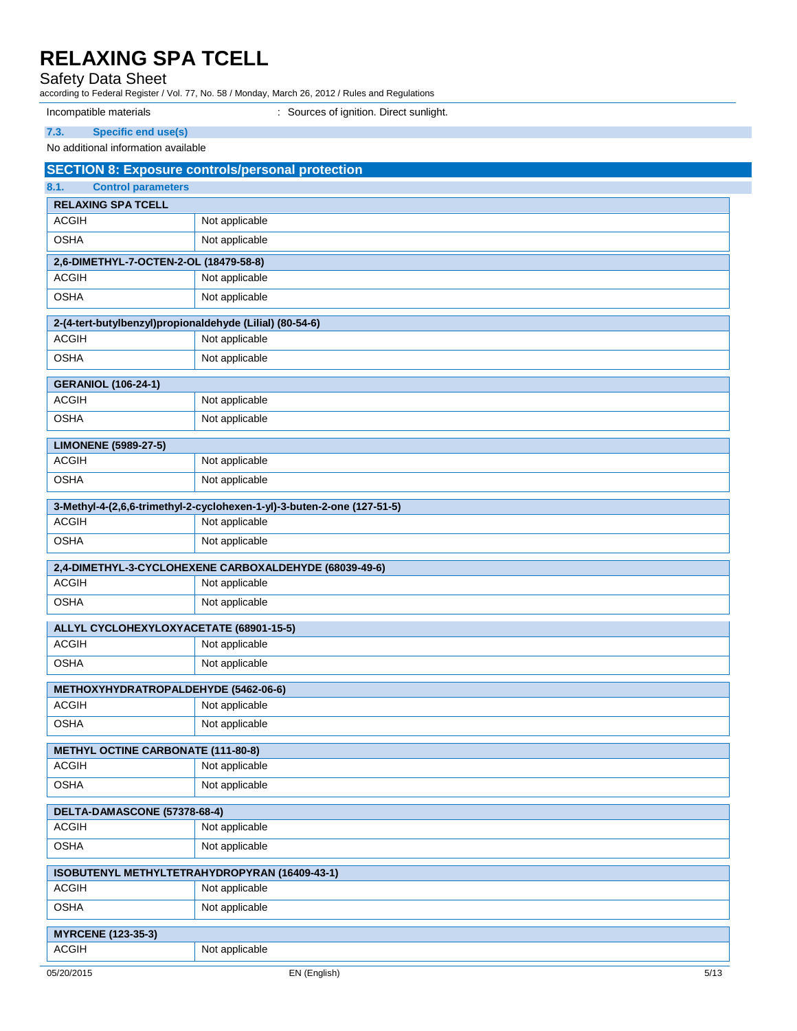Safety Data Sheet

according to Federal Register / Vol. 77, No. 58 / Monday, March 26, 2012 / Rules and Regulations

| Incompatible materials                                    | : Sources of ignition. Direct sunlight.                                 |  |  |
|-----------------------------------------------------------|-------------------------------------------------------------------------|--|--|
| <b>Specific end use(s)</b><br>7.3.                        |                                                                         |  |  |
| No additional information available                       |                                                                         |  |  |
| <b>SECTION 8: Exposure controls/personal protection</b>   |                                                                         |  |  |
| <b>Control parameters</b><br>8.1.                         |                                                                         |  |  |
| <b>RELAXING SPA TCELL</b>                                 |                                                                         |  |  |
| <b>ACGIH</b>                                              | Not applicable                                                          |  |  |
| <b>OSHA</b>                                               | Not applicable                                                          |  |  |
| 2,6-DIMETHYL-7-OCTEN-2-OL (18479-58-8)                    |                                                                         |  |  |
| <b>ACGIH</b>                                              | Not applicable                                                          |  |  |
| <b>OSHA</b>                                               | Not applicable                                                          |  |  |
| 2-(4-tert-butylbenzyl)propionaldehyde (Lilial) (80-54-6)  |                                                                         |  |  |
| <b>ACGIH</b>                                              | Not applicable                                                          |  |  |
| <b>OSHA</b>                                               | Not applicable                                                          |  |  |
| <b>GERANIOL (106-24-1)</b>                                |                                                                         |  |  |
| <b>ACGIH</b>                                              | Not applicable                                                          |  |  |
| <b>OSHA</b>                                               | Not applicable                                                          |  |  |
| <b>LIMONENE (5989-27-5)</b>                               |                                                                         |  |  |
| <b>ACGIH</b>                                              | Not applicable                                                          |  |  |
| <b>OSHA</b>                                               | Not applicable                                                          |  |  |
|                                                           | 3-Methyl-4-(2,6,6-trimethyl-2-cyclohexen-1-yl)-3-buten-2-one (127-51-5) |  |  |
| <b>ACGIH</b>                                              | Not applicable                                                          |  |  |
| <b>OSHA</b>                                               | Not applicable                                                          |  |  |
|                                                           | 2,4-DIMETHYL-3-CYCLOHEXENE CARBOXALDEHYDE (68039-49-6)                  |  |  |
| <b>ACGIH</b>                                              | Not applicable                                                          |  |  |
| <b>OSHA</b>                                               | Not applicable                                                          |  |  |
| ALLYL CYCLOHEXYLOXYACETATE (68901-15-5)                   |                                                                         |  |  |
| <b>ACGIH</b>                                              | Not applicable                                                          |  |  |
| <b>OSHA</b>                                               | Not applicable                                                          |  |  |
| METHOXYHYDRATROPALDEHYDE (5462-06-6)                      |                                                                         |  |  |
| <b>ACGIH</b>                                              | Not applicable                                                          |  |  |
| <b>OSHA</b>                                               | Not applicable                                                          |  |  |
|                                                           |                                                                         |  |  |
| <b>METHYL OCTINE CARBONATE (111-80-8)</b><br><b>ACGIH</b> | Not applicable                                                          |  |  |
| <b>OSHA</b>                                               | Not applicable                                                          |  |  |
|                                                           |                                                                         |  |  |
| DELTA-DAMASCONE (57378-68-4)                              |                                                                         |  |  |
| <b>ACGIH</b>                                              | Not applicable                                                          |  |  |
| <b>OSHA</b>                                               | Not applicable                                                          |  |  |
|                                                           | ISOBUTENYL METHYLTETRAHYDROPYRAN (16409-43-1)                           |  |  |
| <b>ACGIH</b>                                              | Not applicable                                                          |  |  |
| <b>OSHA</b>                                               | Not applicable                                                          |  |  |
| <b>MYRCENE (123-35-3)</b>                                 |                                                                         |  |  |
| <b>ACGIH</b>                                              | Not applicable                                                          |  |  |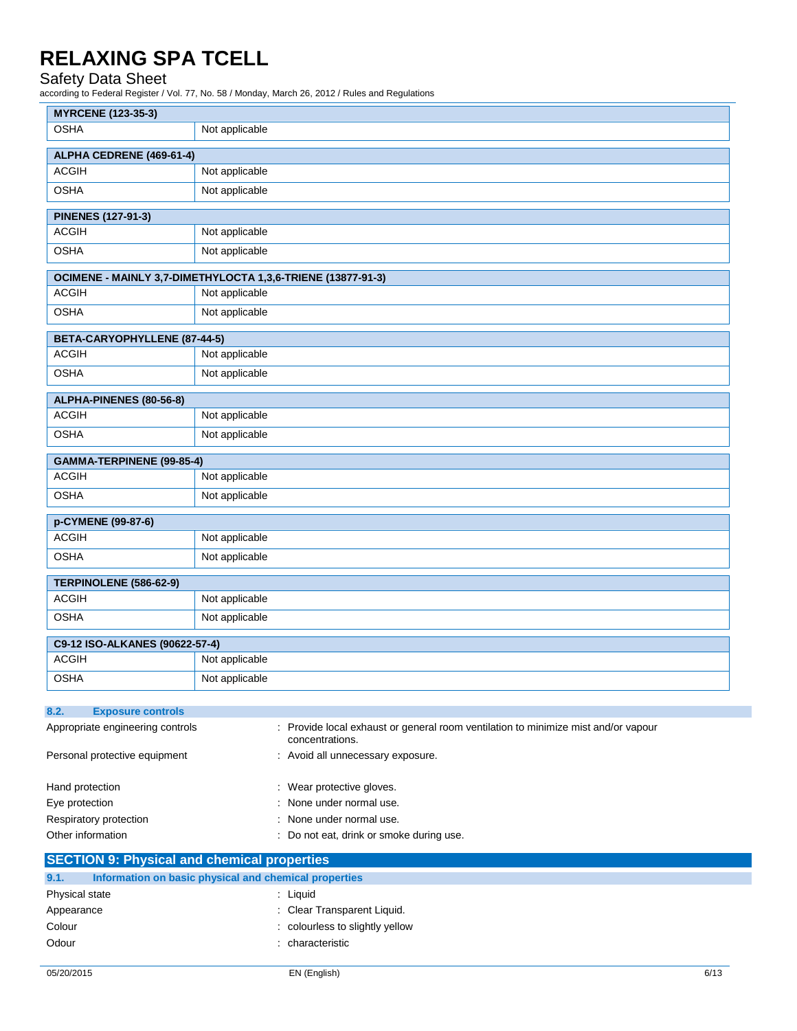#### Safety Data Sheet

according to Federal Register / Vol. 77, No. 58 / Monday, March 26, 2012 / Rules and Regulations

| <b>MYRCENE (123-35-3)</b>                          |                                                                                    |  |  |
|----------------------------------------------------|------------------------------------------------------------------------------------|--|--|
| <b>OSHA</b>                                        | Not applicable                                                                     |  |  |
| ALPHA CEDRENE (469-61-4)                           |                                                                                    |  |  |
| <b>ACGIH</b><br>Not applicable                     |                                                                                    |  |  |
| <b>OSHA</b>                                        | Not applicable                                                                     |  |  |
|                                                    |                                                                                    |  |  |
| <b>PINENES (127-91-3)</b>                          |                                                                                    |  |  |
| <b>ACGIH</b>                                       | Not applicable                                                                     |  |  |
| <b>OSHA</b>                                        | Not applicable                                                                     |  |  |
|                                                    | OCIMENE - MAINLY 3,7-DIMETHYLOCTA 1,3,6-TRIENE (13877-91-3)                        |  |  |
| <b>ACGIH</b>                                       | Not applicable                                                                     |  |  |
| <b>OSHA</b>                                        | Not applicable                                                                     |  |  |
|                                                    |                                                                                    |  |  |
| BETA-CARYOPHYLLENE (87-44-5)                       |                                                                                    |  |  |
| <b>ACGIH</b>                                       | Not applicable                                                                     |  |  |
| <b>OSHA</b>                                        | Not applicable                                                                     |  |  |
| ALPHA-PINENES (80-56-8)                            |                                                                                    |  |  |
| <b>ACGIH</b>                                       | Not applicable                                                                     |  |  |
| <b>OSHA</b>                                        | Not applicable                                                                     |  |  |
|                                                    |                                                                                    |  |  |
| GAMMA-TERPINENE (99-85-4)                          |                                                                                    |  |  |
| <b>ACGIH</b>                                       | Not applicable                                                                     |  |  |
| <b>OSHA</b>                                        | Not applicable                                                                     |  |  |
| p-CYMENE (99-87-6)                                 |                                                                                    |  |  |
| <b>ACGIH</b>                                       | Not applicable                                                                     |  |  |
| <b>OSHA</b>                                        | Not applicable                                                                     |  |  |
|                                                    |                                                                                    |  |  |
| TERPINOLENE (586-62-9)                             |                                                                                    |  |  |
| <b>ACGIH</b>                                       | Not applicable                                                                     |  |  |
| <b>OSHA</b>                                        | Not applicable                                                                     |  |  |
| C9-12 ISO-ALKANES (90622-57-4)                     |                                                                                    |  |  |
| <b>ACGIH</b>                                       | Not applicable                                                                     |  |  |
| <b>OSHA</b>                                        | Not applicable                                                                     |  |  |
|                                                    |                                                                                    |  |  |
| 8.2.<br><b>Exposure controls</b>                   |                                                                                    |  |  |
| Appropriate engineering controls                   | : Provide local exhaust or general room ventilation to minimize mist and/or vapour |  |  |
|                                                    | concentrations.                                                                    |  |  |
| Personal protective equipment                      | : Avoid all unnecessary exposure.                                                  |  |  |
| Hand protection                                    | : Wear protective gloves.                                                          |  |  |
| Eye protection                                     | None under normal use.                                                             |  |  |
| Respiratory protection                             | None under normal use.                                                             |  |  |
| Other information                                  | : Do not eat, drink or smoke during use.                                           |  |  |
|                                                    |                                                                                    |  |  |
| <b>SECTION 9: Physical and chemical properties</b> |                                                                                    |  |  |
| 9.1.                                               | Information on basic physical and chemical properties                              |  |  |
| Physical state                                     | : Liquid                                                                           |  |  |
| Appearance<br>Colour                               | : Clear Transparent Liquid.<br>: colourless to slightly yellow                     |  |  |
| Odour                                              | : characteristic                                                                   |  |  |
|                                                    |                                                                                    |  |  |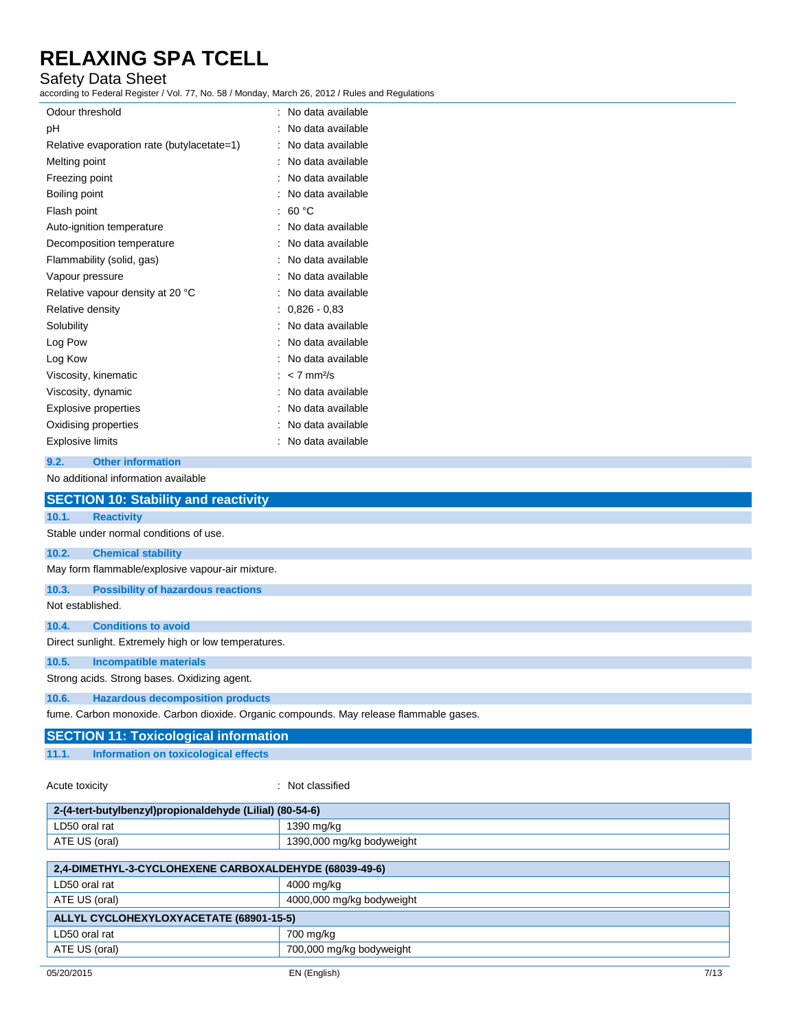#### Safety Data Sheet

according to Federal Register / Vol. 77, No. 58 / Monday, March 26, 2012 / Rules and Regulations

| Odour threshold                            | No data available        |
|--------------------------------------------|--------------------------|
| рH                                         | No data available        |
| Relative evaporation rate (butylacetate=1) | No data available        |
| Melting point                              | No data available        |
| Freezing point                             | No data available        |
| Boiling point                              | No data available        |
| Flash point                                | 60 °C                    |
| Auto-ignition temperature                  | No data available        |
| Decomposition temperature                  | No data available        |
| Flammability (solid, gas)                  | No data available        |
| Vapour pressure                            | No data available        |
| Relative vapour density at 20 °C           | No data available        |
| Relative density                           | $0.826 - 0.83$           |
| Solubility                                 | No data available        |
| Log Pow                                    | No data available        |
| Log Kow                                    | No data available        |
| Viscosity, kinematic                       | $< 7$ mm <sup>2</sup> /s |
| Viscosity, dynamic                         | No data available        |
| Explosive properties                       | No data available        |
| Oxidising properties                       | No data available        |
| <b>Explosive limits</b>                    | No data available        |
|                                            |                          |

**9.2. Other information**

No additional information available

|                  | <b>SECTION 10: Stability and reactivity</b>                                                                                                                                                                                                                                                                                                                                          |  |  |
|------------------|--------------------------------------------------------------------------------------------------------------------------------------------------------------------------------------------------------------------------------------------------------------------------------------------------------------------------------------------------------------------------------------|--|--|
| 10.1.            | <b>Reactivity</b>                                                                                                                                                                                                                                                                                                                                                                    |  |  |
|                  | Stable under normal conditions of use.                                                                                                                                                                                                                                                                                                                                               |  |  |
| 10.2.            | <b>Chemical stability</b>                                                                                                                                                                                                                                                                                                                                                            |  |  |
|                  | May form flammable/explosive vapour-air mixture.                                                                                                                                                                                                                                                                                                                                     |  |  |
| 10.3.            | <b>Possibility of hazardous reactions</b>                                                                                                                                                                                                                                                                                                                                            |  |  |
| Not established. |                                                                                                                                                                                                                                                                                                                                                                                      |  |  |
| 10.4.            | <b>Conditions to avoid</b>                                                                                                                                                                                                                                                                                                                                                           |  |  |
|                  | Direct sunlight. Extremely high or low temperatures.                                                                                                                                                                                                                                                                                                                                 |  |  |
| 10.5.            | <b>Incompatible materials</b>                                                                                                                                                                                                                                                                                                                                                        |  |  |
|                  | Strong acids. Strong bases. Oxidizing agent.                                                                                                                                                                                                                                                                                                                                         |  |  |
| 10.6.            | <b>Hazardous decomposition products</b>                                                                                                                                                                                                                                                                                                                                              |  |  |
|                  | fume. Carbon monoxide. Carbon dioxide. Organic compounds. May release flammable gases.                                                                                                                                                                                                                                                                                               |  |  |
|                  | $\overline{O}$ $\overline{O}$ $\overline{O}$ $\overline{O}$ $\overline{O}$ $\overline{O}$ $\overline{O}$ $\overline{O}$ $\overline{O}$ $\overline{O}$ $\overline{O}$ $\overline{O}$ $\overline{O}$ $\overline{O}$ $\overline{O}$ $\overline{O}$ $\overline{O}$ $\overline{O}$ $\overline{O}$ $\overline{O}$ $\overline{O}$ $\overline{O}$ $\overline{O}$ $\overline{O}$ $\overline{$ |  |  |

|       | <b>SECTION 11: Toxicological information</b> |  |  |  |  |
|-------|----------------------------------------------|--|--|--|--|
| 11.1. | Information on toxicological effects         |  |  |  |  |

Acute toxicity **in the case of the contract of the contract of the contract of the contract of the contract of the contract of the contract of the contract of the contract of the contract of the contract of the contract of** 

| 2-(4-tert-butylbenzyl)propionaldehyde (Lilial) (80-54-6) |                           |  |
|----------------------------------------------------------|---------------------------|--|
| LD50 oral rat                                            | 1390 mg/kg                |  |
| ATE US (oral)                                            | 1390,000 mg/kg bodyweight |  |
|                                                          |                           |  |
| 2,4-DIMETHYL-3-CYCLOHEXENE CARBOXALDEHYDE (68039-49-6)   |                           |  |
| LD50 oral rat                                            | 4000 mg/kg                |  |
| ATE US (oral)                                            | 4000,000 mg/kg bodyweight |  |
| ALLYL CYCLOHEXYLOXYACETATE (68901-15-5)                  |                           |  |
| LD50 oral rat                                            | 700 mg/kg                 |  |
| ATE US (oral)                                            | 700,000 mg/kg bodyweight  |  |
|                                                          |                           |  |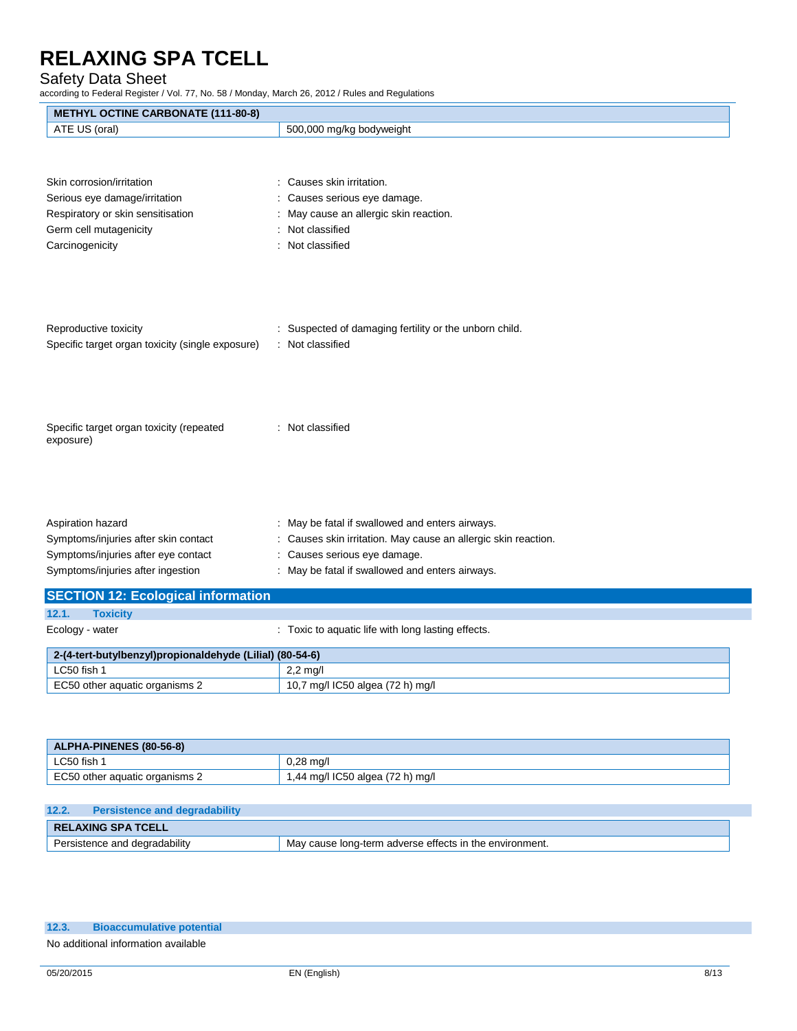#### Safety Data Sheet

according to Federal Register / Vol. 77, No. 58 / Monday, March 26, 2012 / Rules and Regulations

| <b>METHYL OCTINE CARBONATE (111-80-8)</b>                |                                                                        |  |  |
|----------------------------------------------------------|------------------------------------------------------------------------|--|--|
| ATE US (oral)                                            | 500,000 mg/kg bodyweight                                               |  |  |
|                                                          |                                                                        |  |  |
| Skin corrosion/irritation                                | : Causes skin irritation.                                              |  |  |
|                                                          |                                                                        |  |  |
| Serious eye damage/irritation                            | : Causes serious eye damage.<br>: May cause an allergic skin reaction. |  |  |
| Respiratory or skin sensitisation                        | : Not classified                                                       |  |  |
| Germ cell mutagenicity                                   |                                                                        |  |  |
| Carcinogenicity                                          | : Not classified                                                       |  |  |
|                                                          |                                                                        |  |  |
|                                                          |                                                                        |  |  |
| Reproductive toxicity                                    | : Suspected of damaging fertility or the unborn child.                 |  |  |
| Specific target organ toxicity (single exposure)         | : Not classified                                                       |  |  |
|                                                          |                                                                        |  |  |
|                                                          |                                                                        |  |  |
|                                                          |                                                                        |  |  |
|                                                          |                                                                        |  |  |
| Specific target organ toxicity (repeated<br>exposure)    | : Not classified                                                       |  |  |
|                                                          |                                                                        |  |  |
|                                                          |                                                                        |  |  |
|                                                          |                                                                        |  |  |
| Aspiration hazard                                        | : May be fatal if swallowed and enters airways.                        |  |  |
| Symptoms/injuries after skin contact                     | : Causes skin irritation. May cause an allergic skin reaction.         |  |  |
| Symptoms/injuries after eye contact                      | : Causes serious eye damage.                                           |  |  |
| Symptoms/injuries after ingestion                        | : May be fatal if swallowed and enters airways.                        |  |  |
| <b>SECTION 12: Ecological information</b>                |                                                                        |  |  |
| 12.1.<br><b>Toxicity</b>                                 |                                                                        |  |  |
| Ecology - water                                          | : Toxic to aquatic life with long lasting effects.                     |  |  |
|                                                          |                                                                        |  |  |
| 2-(4-tert-butylbenzyl)propionaldehyde (Lilial) (80-54-6) |                                                                        |  |  |
| LC50 fish 1                                              | $2,2$ mg/l                                                             |  |  |
| EC50 other aquatic organisms 2                           | 10,7 mg/l IC50 algea (72 h) mg/l                                       |  |  |

| <b>ALPHA-PINENES (80-56-8)</b> |                                  |  |
|--------------------------------|----------------------------------|--|
| LC50 fish 1                    | $0,28 \text{ ma/l}$              |  |
| EC50 other aquatic organisms 2 | 1,44 mg/l IC50 algea (72 h) mg/l |  |

| 12.2. | <b>Persistence and degradability</b> |                                                          |  |  |  |
|-------|--------------------------------------|----------------------------------------------------------|--|--|--|
|       | RELAXING SPA TCELL                   |                                                          |  |  |  |
|       | Persistence and degradability        | 'May cause long-term adverse effects in the environment. |  |  |  |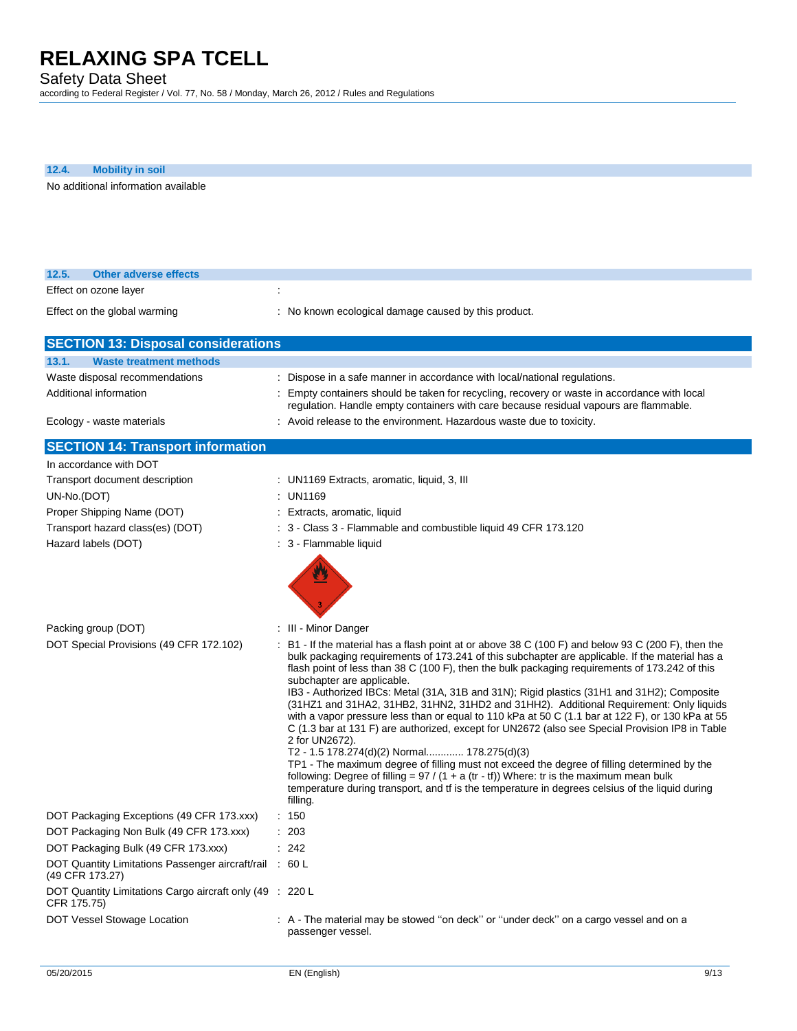Safety Data Sheet

according to Federal Register / Vol. 77, No. 58 / Monday, March 26, 2012 / Rules and Regulations

| 12.4. | <b>Mobility in soil</b>             |
|-------|-------------------------------------|
|       | No additional information available |
|       |                                     |
|       |                                     |
|       |                                     |
|       |                                     |

|       | <b>SECTION 13: Disposal considerations</b> |                                                      |  |
|-------|--------------------------------------------|------------------------------------------------------|--|
|       | Effect on the global warming               | : No known ecological damage caused by this product. |  |
|       | Effect on ozone layer                      |                                                      |  |
| 12.5. | <b>Other adverse effects</b>               |                                                      |  |

| 13.1.<br>Waste treatment methods |                                                                                                                                                                                     |
|----------------------------------|-------------------------------------------------------------------------------------------------------------------------------------------------------------------------------------|
| Waste disposal recommendations   | : Dispose in a safe manner in accordance with local/national regulations.                                                                                                           |
| Additional information           | Empty containers should be taken for recycling, recovery or waste in accordance with local<br>regulation. Handle empty containers with care because residual vapours are flammable. |
| Ecology - waste materials        | : Avoid release to the environment. Hazardous waste due to toxicity.                                                                                                                |

### **SECTION 14: Transport information**

| In accordance with DOT                                                     |                                                                                                                                                                                                                                                                                                                                                                                                                                                                                                                                                                                                                                                                                                                                                                                                                                                                                                                                                                                                                                                                                                                   |
|----------------------------------------------------------------------------|-------------------------------------------------------------------------------------------------------------------------------------------------------------------------------------------------------------------------------------------------------------------------------------------------------------------------------------------------------------------------------------------------------------------------------------------------------------------------------------------------------------------------------------------------------------------------------------------------------------------------------------------------------------------------------------------------------------------------------------------------------------------------------------------------------------------------------------------------------------------------------------------------------------------------------------------------------------------------------------------------------------------------------------------------------------------------------------------------------------------|
| Transport document description                                             | : UN1169 Extracts, aromatic, liquid, 3, III                                                                                                                                                                                                                                                                                                                                                                                                                                                                                                                                                                                                                                                                                                                                                                                                                                                                                                                                                                                                                                                                       |
| UN-No.(DOT)                                                                | : UN1169                                                                                                                                                                                                                                                                                                                                                                                                                                                                                                                                                                                                                                                                                                                                                                                                                                                                                                                                                                                                                                                                                                          |
| Proper Shipping Name (DOT)                                                 | Extracts, aromatic, liquid                                                                                                                                                                                                                                                                                                                                                                                                                                                                                                                                                                                                                                                                                                                                                                                                                                                                                                                                                                                                                                                                                        |
| Transport hazard class(es) (DOT)                                           | : 3 - Class 3 - Flammable and combustible liquid 49 CFR 173.120                                                                                                                                                                                                                                                                                                                                                                                                                                                                                                                                                                                                                                                                                                                                                                                                                                                                                                                                                                                                                                                   |
| Hazard labels (DOT)                                                        | : 3 - Flammable liquid                                                                                                                                                                                                                                                                                                                                                                                                                                                                                                                                                                                                                                                                                                                                                                                                                                                                                                                                                                                                                                                                                            |
|                                                                            |                                                                                                                                                                                                                                                                                                                                                                                                                                                                                                                                                                                                                                                                                                                                                                                                                                                                                                                                                                                                                                                                                                                   |
| Packing group (DOT)                                                        | : III - Minor Danger                                                                                                                                                                                                                                                                                                                                                                                                                                                                                                                                                                                                                                                                                                                                                                                                                                                                                                                                                                                                                                                                                              |
| DOT Special Provisions (49 CFR 172.102)                                    | : B1 - If the material has a flash point at or above 38 C (100 F) and below 93 C (200 F), then the<br>bulk packaging requirements of 173.241 of this subchapter are applicable. If the material has a<br>flash point of less than 38 C (100 F), then the bulk packaging requirements of 173.242 of this<br>subchapter are applicable.<br>IB3 - Authorized IBCs: Metal (31A, 31B and 31N); Rigid plastics (31H1 and 31H2); Composite<br>(31HZ1 and 31HA2, 31HB2, 31HN2, 31HD2 and 31HH2). Additional Requirement: Only liquids<br>with a vapor pressure less than or equal to 110 kPa at 50 C (1.1 bar at 122 F), or 130 kPa at 55<br>C (1.3 bar at 131 F) are authorized, except for UN2672 (also see Special Provision IP8 in Table<br>2 for UN2672).<br>T2 - 1.5 178.274(d)(2) Normal 178.275(d)(3)<br>TP1 - The maximum degree of filling must not exceed the degree of filling determined by the<br>following: Degree of filling = $97 / (1 + a$ (tr - tf)) Where: tr is the maximum mean bulk<br>temperature during transport, and tf is the temperature in degrees celsius of the liquid during<br>filling. |
| DOT Packaging Exceptions (49 CFR 173.xxx)                                  | : 150                                                                                                                                                                                                                                                                                                                                                                                                                                                                                                                                                                                                                                                                                                                                                                                                                                                                                                                                                                                                                                                                                                             |
| DOT Packaging Non Bulk (49 CFR 173.xxx)                                    | : 203                                                                                                                                                                                                                                                                                                                                                                                                                                                                                                                                                                                                                                                                                                                                                                                                                                                                                                                                                                                                                                                                                                             |
| DOT Packaging Bulk (49 CFR 173.xxx)                                        | : 242                                                                                                                                                                                                                                                                                                                                                                                                                                                                                                                                                                                                                                                                                                                                                                                                                                                                                                                                                                                                                                                                                                             |
| DOT Quantity Limitations Passenger aircraft/rail : 60 L<br>(49 CFR 173.27) |                                                                                                                                                                                                                                                                                                                                                                                                                                                                                                                                                                                                                                                                                                                                                                                                                                                                                                                                                                                                                                                                                                                   |
| DOT Quantity Limitations Cargo aircraft only (49 : 220 L<br>CFR 175.75)    |                                                                                                                                                                                                                                                                                                                                                                                                                                                                                                                                                                                                                                                                                                                                                                                                                                                                                                                                                                                                                                                                                                                   |
| DOT Vessel Stowage Location                                                | : A - The material may be stowed "on deck" or "under deck" on a cargo vessel and on a<br>passenger vessel.                                                                                                                                                                                                                                                                                                                                                                                                                                                                                                                                                                                                                                                                                                                                                                                                                                                                                                                                                                                                        |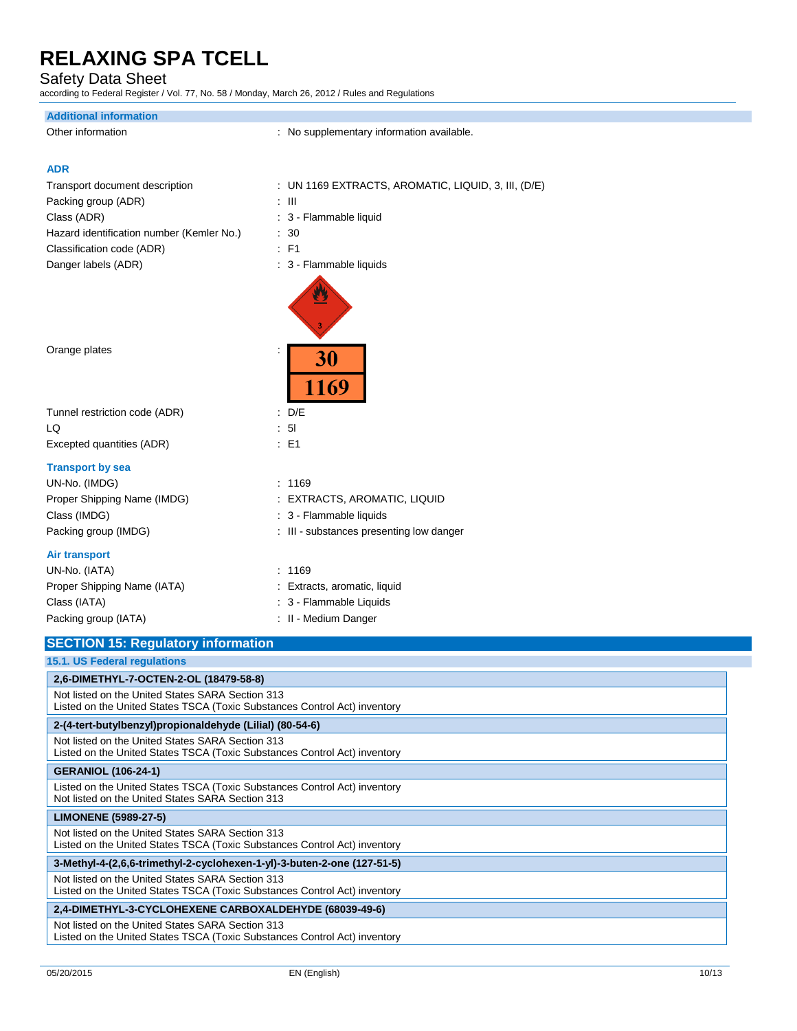Safety Data Sheet

| <b>Additional information</b>                                                                                                 |                                                     |  |  |  |
|-------------------------------------------------------------------------------------------------------------------------------|-----------------------------------------------------|--|--|--|
| Other information                                                                                                             | : No supplementary information available.           |  |  |  |
| <b>ADR</b>                                                                                                                    |                                                     |  |  |  |
| Transport document description                                                                                                | : UN 1169 EXTRACTS, AROMATIC, LIQUID, 3, III, (D/E) |  |  |  |
| Packing group (ADR)                                                                                                           | : III                                               |  |  |  |
| Class (ADR)                                                                                                                   | 3 - Flammable liquid                                |  |  |  |
| Hazard identification number (Kemler No.)                                                                                     | $\therefore$ 30                                     |  |  |  |
| Classification code (ADR)                                                                                                     | $E$ F1                                              |  |  |  |
| Danger labels (ADR)                                                                                                           | : 3 - Flammable liquids                             |  |  |  |
| Orange plates                                                                                                                 | 30<br>169                                           |  |  |  |
| Tunnel restriction code (ADR)                                                                                                 | $\therefore$ D/E                                    |  |  |  |
| LQ                                                                                                                            | 5 <sub>l</sub>                                      |  |  |  |
| Excepted quantities (ADR)                                                                                                     | $\therefore$ E1                                     |  |  |  |
| <b>Transport by sea</b>                                                                                                       |                                                     |  |  |  |
| UN-No. (IMDG)                                                                                                                 | : 1169                                              |  |  |  |
| Proper Shipping Name (IMDG)                                                                                                   | EXTRACTS, AROMATIC, LIQUID                          |  |  |  |
| Class (IMDG)                                                                                                                  | 3 - Flammable liquids                               |  |  |  |
| Packing group (IMDG)                                                                                                          | : III - substances presenting low danger            |  |  |  |
|                                                                                                                               |                                                     |  |  |  |
| <b>Air transport</b><br>UN-No. (IATA)                                                                                         | : 1169                                              |  |  |  |
| Proper Shipping Name (IATA)                                                                                                   | Extracts, aromatic, liquid                          |  |  |  |
| Class (IATA)                                                                                                                  | 3 - Flammable Liquids                               |  |  |  |
| Packing group (IATA)                                                                                                          | : II - Medium Danger                                |  |  |  |
|                                                                                                                               |                                                     |  |  |  |
| <b>SECTION 15: Regulatory information</b>                                                                                     |                                                     |  |  |  |
| 15.1. US Federal regulations                                                                                                  |                                                     |  |  |  |
| 2,6-DIMETHYL-7-OCTEN-2-OL (18479-58-8)                                                                                        |                                                     |  |  |  |
| Not listed on the United States SARA Section 313<br>Listed on the United States TSCA (Toxic Substances Control Act) inventory |                                                     |  |  |  |
| 2-(4-tert-butylbenzyl)propionaldehyde (Lilial) (80-54-6)                                                                      |                                                     |  |  |  |
| Not listed on the United States SARA Section 313<br>Listed on the United States TSCA (Toxic Substances Control Act) inventory |                                                     |  |  |  |
| <b>GERANIOL (106-24-1)</b>                                                                                                    |                                                     |  |  |  |
| Listed on the United States TSCA (Toxic Substances Control Act) inventory<br>Not listed on the United States SARA Section 313 |                                                     |  |  |  |
| <b>LIMONENE (5989-27-5)</b>                                                                                                   |                                                     |  |  |  |
| Not listed on the United States SARA Section 313<br>Listed on the United States TSCA (Toxic Substances Control Act) inventory |                                                     |  |  |  |
|                                                                                                                               |                                                     |  |  |  |

**3-Methyl-4-(2,6,6-trimethyl-2-cyclohexen-1-yl)-3-buten-2-one (127-51-5)**

Not listed on the United States SARA Section 313 Listed on the United States TSCA (Toxic Substances Control Act) inventory

### **2,4-DIMETHYL-3-CYCLOHEXENE CARBOXALDEHYDE (68039-49-6)**

### Not listed on the United States SARA Section 313

Listed on the United States TSCA (Toxic Substances Control Act) inventory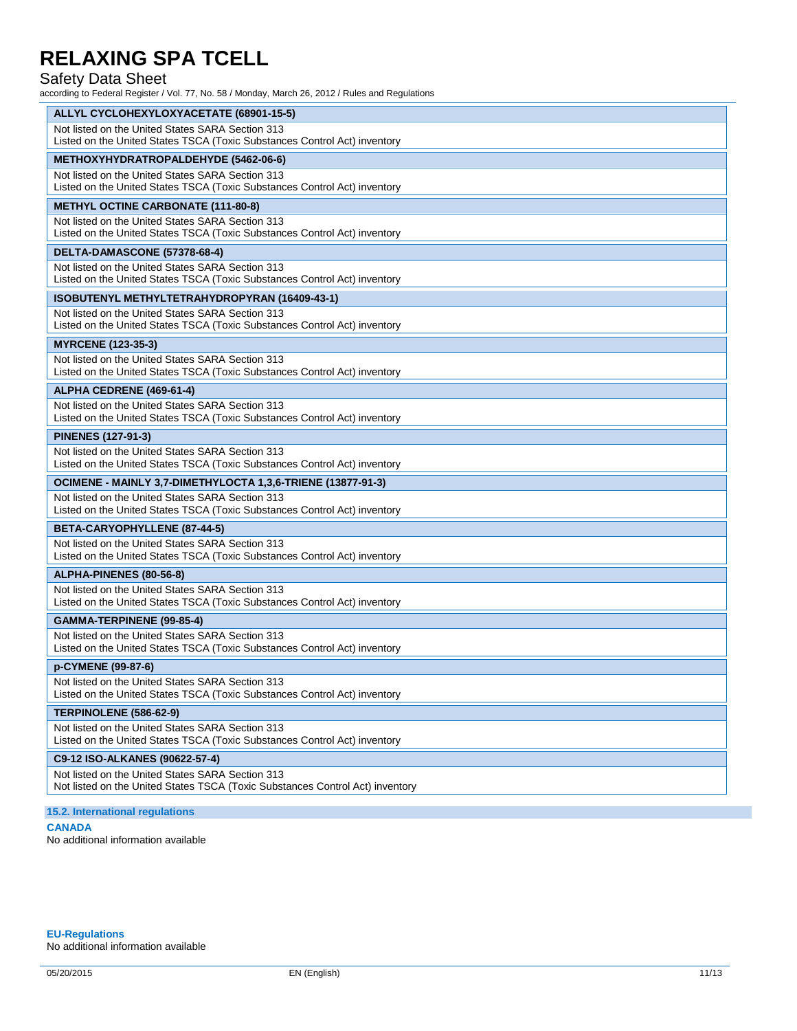#### Safety Data Sheet

according to Federal Register / Vol. 77, No. 58 / Monday, March 26, 2012 / Rules and Regulations

| ALLYL CYCLOHEXYLOXYACETATE (68901-15-5)                                                                                           |  |  |  |
|-----------------------------------------------------------------------------------------------------------------------------------|--|--|--|
| Not listed on the United States SARA Section 313<br>Listed on the United States TSCA (Toxic Substances Control Act) inventory     |  |  |  |
| METHOXYHYDRATROPALDEHYDE (5462-06-6)                                                                                              |  |  |  |
| Not listed on the United States SARA Section 313<br>Listed on the United States TSCA (Toxic Substances Control Act) inventory     |  |  |  |
| <b>METHYL OCTINE CARBONATE (111-80-8)</b>                                                                                         |  |  |  |
| Not listed on the United States SARA Section 313<br>Listed on the United States TSCA (Toxic Substances Control Act) inventory     |  |  |  |
| DELTA-DAMASCONE (57378-68-4)                                                                                                      |  |  |  |
| Not listed on the United States SARA Section 313<br>Listed on the United States TSCA (Toxic Substances Control Act) inventory     |  |  |  |
| ISOBUTENYL METHYLTETRAHYDROPYRAN (16409-43-1)                                                                                     |  |  |  |
| Not listed on the United States SARA Section 313<br>Listed on the United States TSCA (Toxic Substances Control Act) inventory     |  |  |  |
| <b>MYRCENE (123-35-3)</b>                                                                                                         |  |  |  |
| Not listed on the United States SARA Section 313<br>Listed on the United States TSCA (Toxic Substances Control Act) inventory     |  |  |  |
| ALPHA CEDRENE (469-61-4)                                                                                                          |  |  |  |
| Not listed on the United States SARA Section 313<br>Listed on the United States TSCA (Toxic Substances Control Act) inventory     |  |  |  |
| <b>PINENES (127-91-3)</b>                                                                                                         |  |  |  |
| Not listed on the United States SARA Section 313<br>Listed on the United States TSCA (Toxic Substances Control Act) inventory     |  |  |  |
| OCIMENE - MAINLY 3,7-DIMETHYLOCTA 1,3,6-TRIENE (13877-91-3)                                                                       |  |  |  |
| Not listed on the United States SARA Section 313<br>Listed on the United States TSCA (Toxic Substances Control Act) inventory     |  |  |  |
| BETA-CARYOPHYLLENE (87-44-5)                                                                                                      |  |  |  |
| Not listed on the United States SARA Section 313<br>Listed on the United States TSCA (Toxic Substances Control Act) inventory     |  |  |  |
| ALPHA-PINENES (80-56-8)                                                                                                           |  |  |  |
| Not listed on the United States SARA Section 313<br>Listed on the United States TSCA (Toxic Substances Control Act) inventory     |  |  |  |
| GAMMA-TERPINENE (99-85-4)                                                                                                         |  |  |  |
| Not listed on the United States SARA Section 313<br>Listed on the United States TSCA (Toxic Substances Control Act) inventory     |  |  |  |
| p-CYMENE (99-87-6)                                                                                                                |  |  |  |
| Not listed on the United States SARA Section 313<br>Listed on the United States TSCA (Toxic Substances Control Act) inventory     |  |  |  |
| TERPINOLENE (586-62-9)                                                                                                            |  |  |  |
| Not listed on the United States SARA Section 313<br>Listed on the United States TSCA (Toxic Substances Control Act) inventory     |  |  |  |
| C9-12 ISO-ALKANES (90622-57-4)                                                                                                    |  |  |  |
| Not listed on the United States SARA Section 313<br>Not listed on the United States TSCA (Toxic Substances Control Act) inventory |  |  |  |

#### **15.2. International regulations**

### **CANADA**

No additional information available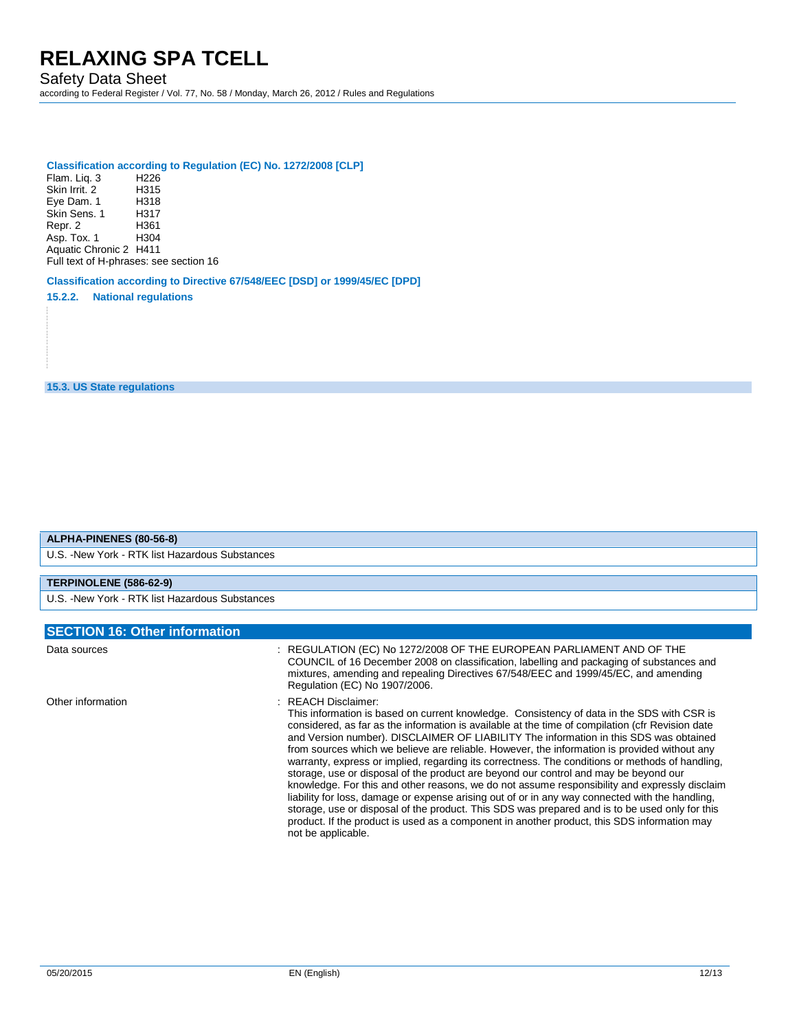Safety Data Sheet according to Federal Register / Vol. 77, No. 58 / Monday, March 26, 2012 / Rules and Regulations

## **Classification according to Regulation (EC) No. 1272/2008 [CLP]**

Flam. Liq. 3 H226 Skin Irrit. 2 H315<br>Eye Dam. 1 H318 Eye Dam. 1 H318 Skin Sens. 1 Repr. 2 H361 Asp. Tox.  $1$ Aquatic Chronic 2 H411 Full text of H-phrases: see section 16

**Classification according to Directive 67/548/EEC [DSD] or 1999/45/EC [DPD]**

**15.2.2. National regulations**

**15.3. US State regulations**

| ALPHA-PINENES (80-56-8)                         |                                                                                                                                                                                                                                                                                                                                                                                                                                                                                                                                                                                                                                                                                                                                                                                                                                                                                                                                                                                                                                      |  |  |
|-------------------------------------------------|--------------------------------------------------------------------------------------------------------------------------------------------------------------------------------------------------------------------------------------------------------------------------------------------------------------------------------------------------------------------------------------------------------------------------------------------------------------------------------------------------------------------------------------------------------------------------------------------------------------------------------------------------------------------------------------------------------------------------------------------------------------------------------------------------------------------------------------------------------------------------------------------------------------------------------------------------------------------------------------------------------------------------------------|--|--|
| U.S. - New York - RTK list Hazardous Substances |                                                                                                                                                                                                                                                                                                                                                                                                                                                                                                                                                                                                                                                                                                                                                                                                                                                                                                                                                                                                                                      |  |  |
|                                                 |                                                                                                                                                                                                                                                                                                                                                                                                                                                                                                                                                                                                                                                                                                                                                                                                                                                                                                                                                                                                                                      |  |  |
| TERPINOLENE (586-62-9)                          |                                                                                                                                                                                                                                                                                                                                                                                                                                                                                                                                                                                                                                                                                                                                                                                                                                                                                                                                                                                                                                      |  |  |
| U.S. - New York - RTK list Hazardous Substances |                                                                                                                                                                                                                                                                                                                                                                                                                                                                                                                                                                                                                                                                                                                                                                                                                                                                                                                                                                                                                                      |  |  |
|                                                 |                                                                                                                                                                                                                                                                                                                                                                                                                                                                                                                                                                                                                                                                                                                                                                                                                                                                                                                                                                                                                                      |  |  |
| <b>SECTION 16: Other information</b>            |                                                                                                                                                                                                                                                                                                                                                                                                                                                                                                                                                                                                                                                                                                                                                                                                                                                                                                                                                                                                                                      |  |  |
| Data sources                                    | : REGULATION (EC) No 1272/2008 OF THE EUROPEAN PARLIAMENT AND OF THE<br>COUNCIL of 16 December 2008 on classification, labelling and packaging of substances and<br>mixtures, amending and repealing Directives 67/548/EEC and 1999/45/EC, and amending<br>Regulation (EC) No 1907/2006.                                                                                                                                                                                                                                                                                                                                                                                                                                                                                                                                                                                                                                                                                                                                             |  |  |
| Other information                               | : REACH Disclaimer:<br>This information is based on current knowledge. Consistency of data in the SDS with CSR is<br>considered, as far as the information is available at the time of compilation (cfr Revision date<br>and Version number). DISCLAIMER OF LIABILITY The information in this SDS was obtained<br>from sources which we believe are reliable. However, the information is provided without any<br>warranty, express or implied, regarding its correctness. The conditions or methods of handling,<br>storage, use or disposal of the product are beyond our control and may be beyond our<br>knowledge. For this and other reasons, we do not assume responsibility and expressly disclaim<br>liability for loss, damage or expense arising out of or in any way connected with the handling,<br>storage, use or disposal of the product. This SDS was prepared and is to be used only for this<br>product. If the product is used as a component in another product, this SDS information may<br>not be applicable. |  |  |